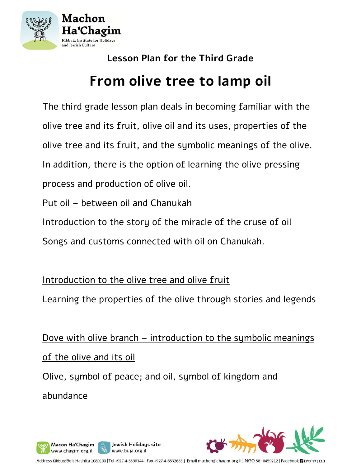

# **Lesson Plan for the Third Grade From olive tree to lamp oil**

The third grade lesson plan deals in becoming familiar with the olive tree and its fruit, olive oil and its uses, properties of the olive tree and its fruit, and the symbolic meanings of the olive. In addition, there is the option of learning the olive pressing process and production of olive oil.

Put oil – between oil and Chanukah

Introduction to the story of the miracle of the cruse of oil Songs and customs connected with oil on Chanukah.

Introduction to the olive tree and olive fruit

Learning the properties of the olive through stories and legends

Dove with olive branch – introduction to the symbolic meanings of the olive and its oil Olive, symbol of peace; and oil, symbol of kingdom and abundance



מכון שיטים (INGO 58-0459212 | Facebook 1 במכון שיטים (Tel +927-4-6536344 | Fax +927-4-6532683 | Email machon@chagim.org.il | NGO 58-0459212 | Facebook 1 במבון שיטים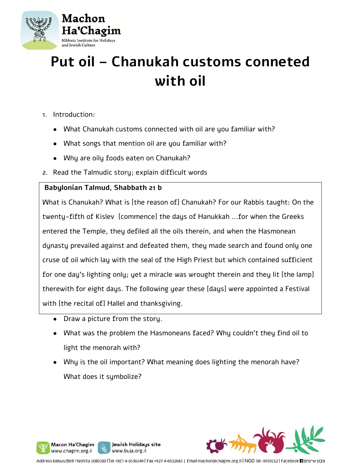

## **Put oil – Chanukah customs conneted with oil**

- 1. Introduction:
	- What Chanukah customs connected with oil are you familiar with?
	- What songs that mention oil are you familiar with?
	- Why are oily foods eaten on Chanukah?
- 2. Read the Talmudic story; explain difficult words

## **Babylonian Talmud, Shabbath 21 b**

What is Chanukah? What is [the reason of] Chanukah? For our Rabbis taught: On the twenty-fifth of Kislev [commence] the days of Hanukkah ...for when the Greeks entered the Temple, they defiled all the oils therein, and when the Hasmonean dynasty prevailed against and defeated them, they made search and found only one cruse of oil which lay with the seal of the High Priest but which contained sufficient for one day's lighting only; yet a miracle was wrought therein and they lit [the lamp] therewith for eight days. The following year these [days] were appointed a Festival with [the recital of] Hallel and thanksgiving.

- Draw a picture from the story.
- What was the problem the Hasmoneans faced? Why couldn't they find oil to light the menorah with?
- Why is the oil important? What meaning does lighting the menorah have? What does it symbolize?



Address Kibbutz Beit Hashita 1080100 |Tel +927-4-6536344 | Fax +927-4-6532683 | Email machon@chagim.org.il | NGO 58-0459212 | Facebook 1 מכון שיטים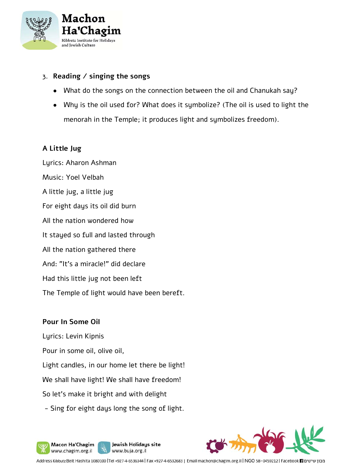

## 3. **Reading / singing the songs**

- What do the songs on the connection between the oil and Chanukah say?
- Why is the oil used for? What does it symbolize? (The oil is used to light the menorah in the Temple; it produces light and symbolizes freedom).

## **A Little Jug**

Lyrics: Aharon Ashman Music: Yoel Velbah A little jug, a little jug For eight days its oil did burn All the nation wondered how It stayed so full and lasted through All the nation gathered there And: "It's a miracle!" did declare Had this little jug not been left The Temple of light would have been bereft.

## **Pour In Some Oil**

Lyrics: Levin Kipnis

Macon Ha'Chagim www.chagim.org.il

- Pour in some oil, olive oil,
- Light candles, in our home let there be light!
- We shall have light! We shall have freedom!
- So let's make it bright and with delight
- Sing for eight days long the song of light.

Jewish Holidays site

www.buja.org.il

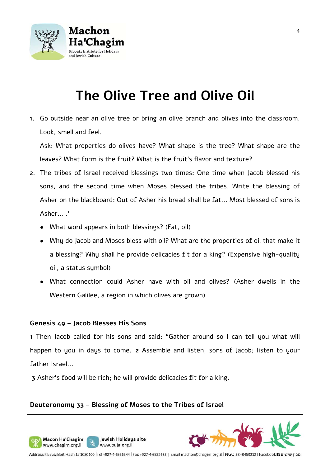

## **The Olive Tree and Olive Oil**

1. Go outside near an olive tree or bring an olive branch and olives into the classroom. Look, smell and feel.

Ask: What properties do olives have? What shape is the tree? What shape are the leaves? What form is the fruit? What is the fruit's flavor and texture?

- 2. The tribes of Israel received blessings two times: One time when Jacob blessed his sons, and the second time when Moses blessed the tribes. Write the blessing of Asher on the blackboard: Out of Asher his bread shall be fat... Most blessed of sons is Asher... .'
	- What word appears in both blessings? (Fat, oil)
	- Why do Jacob and Moses bless with oil? What are the properties of oil that make it a blessing? Why shall he provide delicacies fit for a king? (Expensive high-quality oil, a status symbol)
	- What connection could Asher have with oil and olives? (Asher dwells in the Western Galilee, a region in which olives are grown)

#### **Genesis 49 – Jacob Blesses His Sons**

Macon Ha'Chagim

www.chagim.org.il

**1** Then Jacob called for his sons and said: "Gather around so I can tell you what will happen to you in days to come. **2** Assemble and listen, sons of Jacob; listen to your father Israel...

**3** Asher's food will be rich; he will provide delicacies fit for a king.

## **Deuteronomy 33 – Blessing of Moses to the Tribes of Israel**

Jewish Holidays site

www.buja.org.il



Address Kibbutz Beit Hashita 1080100 |Tel +927-4-6536344 | Fax +927-4-6532683 | Email machon@chagim.org.il | NGO 58-0459212 | Facebook 1 מבון שיטים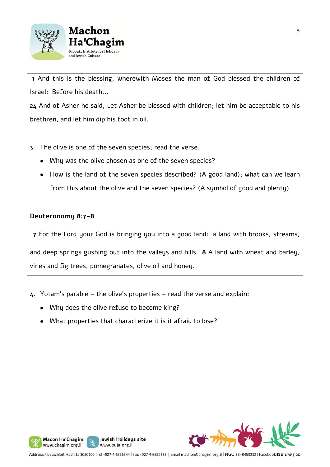



 **1** And this is the blessing, wherewith Moses the man of God blessed the children of Israel: Before his death...

24 And of Asher he said, Let Asher be blessed with children; let him be acceptable to his brethren, and let him dip his foot in oil.

- 3. The olive is one of the seven species; read the verse.
	- Why was the olive chosen as one of the seven species?
	- How is the land of the seven species described? (A good land); what can we learn from this about the olive and the seven species? (A symbol of good and plenty)

## **Deuteronomy 8:7-8**

Macon Ha'Chagim

www.chagim.org.il

**7** For the Lord your God is bringing you into a good land: a land with brooks, streams,

and deep springs gushing out into the valleys and hills. **8** A land with wheat and barley, vines and fig trees, pomegranates, olive oil and honey.

- 4. Yotam's parable the olive's properties read the verse and explain:
	- Why does the olive refuse to become king?
	- What properties that characterize it is it afraid to lose?

Jewish Holidays site

www.buja.org.il

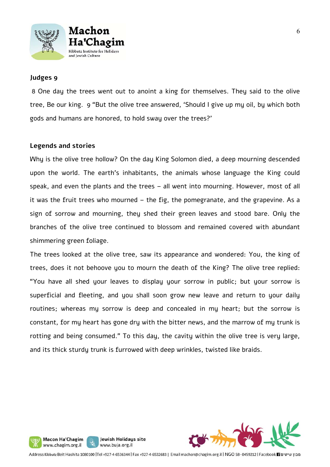



#### **Judges 9**

 8 One day the trees went out to anoint a king for themselves. They said to the olive tree, Be our king. 9 "But the olive tree answered, 'Should I give up my oil, by which both gods and humans are honored, to hold sway over the trees?'

#### **Legends and stories**

Why is the olive tree hollow? On the day King Solomon died, a deep mourning descended upon the world. The earth's inhabitants, the animals whose language the King could speak, and even the plants and the trees – all went into mourning. However, most of all it was the fruit trees who mourned – the fig, the pomegranate, and the grapevine. As a sign of sorrow and mourning, they shed their green leaves and stood bare. Only the branches of the olive tree continued to blossom and remained covered with abundant shimmering green foliage.

The trees looked at the olive tree, saw its appearance and wondered: You, the king of trees, does it not behoove you to mourn the death of the King? The olive tree replied: "You have all shed your leaves to display your sorrow in public; but your sorrow is superficial and fleeting, and you shall soon grow new leave and return to your daily routines; whereas my sorrow is deep and concealed in my heart; but the sorrow is constant, for my heart has gone dry with the bitter news, and the marrow of my trunk is rotting and being consumed." To this day, the cavity within the olive tree is very large, and its thick sturdy trunk is furrowed with deep wrinkles, twisted like braids.



Jewish Holidays site

www.buja.org.il

Macon Ha'Chagim www.chagim.org.il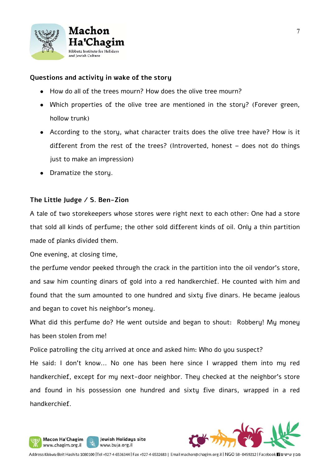

## **Questions and activity in wake of the story**

- How do all of the trees mourn? How does the olive tree mourn?
- Which properties of the olive tree are mentioned in the story? (Forever green, hollow trunk)
- According to the story, what character traits does the olive tree have? How is it different from the rest of the trees? (Introverted, honest – does not do things just to make an impression)
- Dramatize the story.

## **The Little Judge / S. Ben-Zion**

A tale of two storekeepers whose stores were right next to each other: One had a store that sold all kinds of perfume; the other sold different kinds of oil. Only a thin partition made of planks divided them.

One evening, at closing time,

Macon Ha'Chagim www.chagim.org.il

the perfume vendor peeked through the crack in the partition into the oil vendor's store, and saw him counting dinars of gold into a red handkerchief. He counted with him and found that the sum amounted to one hundred and sixty five dinars. He became jealous and began to covet his neighbor's money.

What did this perfume do? He went outside and began to shout: Robbery! My money has been stolen from me!

Police patrolling the city arrived at once and asked him: Who do you suspect?

Jewish Holidays site

www.buja.org.il

He said: I don't know... No one has been here since I wrapped them into my red handkerchief, except for my next-door neighbor. They checked at the neighbor's store and found in his possession one hundred and sixty five dinars, wrapped in a red handkerchief.

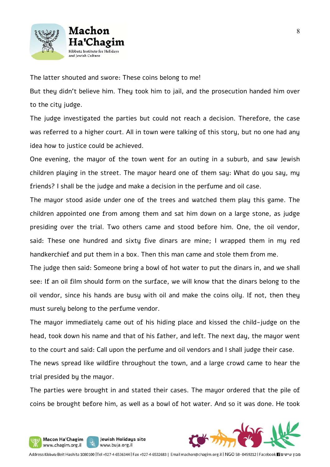

The latter shouted and swore: These coins belong to me!

But they didn't believe him. They took him to jail, and the prosecution handed him over to the city judge.

The judge investigated the parties but could not reach a decision. Therefore, the case was referred to a higher court. All in town were talking of this story, but no one had any idea how to justice could be achieved.

One evening, the mayor of the town went for an outing in a suburb, and saw Jewish children playing in the street. The mayor heard one of them say: What do you say, my friends? I shall be the judge and make a decision in the perfume and oil case.

The mayor stood aside under one of the trees and watched them play this game. The children appointed one from among them and sat him down on a large stone, as judge presiding over the trial. Two others came and stood before him. One, the oil vendor, said: These one hundred and sixty five dinars are mine; I wrapped them in my red handkerchief and put them in a box. Then this man came and stole them from me.

The judge then said: Someone bring a bowl of hot water to put the dinars in, and we shall see: If an oil film should form on the surface, we will know that the dinars belong to the oil vendor, since his hands are busy with oil and make the coins oily. If not, then they must surely belong to the perfume vendor.

The mayor immediately came out of his hiding place and kissed the child-judge on the head, took down his name and that of his father, and left. The next day, the mayor went to the court and said: Call upon the perfume and oil vendors and I shall judge their case.

The news spread like wildfire throughout the town, and a large crowd came to hear the trial presided by the mayor.

The parties were brought in and stated their cases. The mayor ordered that the pile of coins be brought before him, as well as a bowl of hot water. And so it was done. He took



Jewish Holidays site

www.buja.org.il

Macon Ha'Chagim

www.chagim.org.il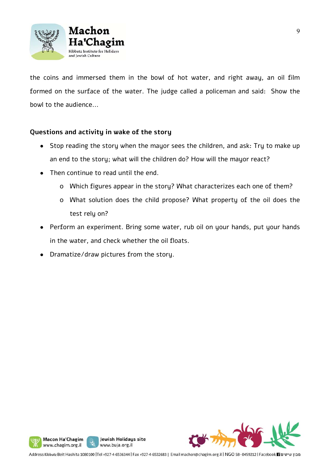

the coins and immersed them in the bowl of hot water, and right away, an oil film formed on the surface of the water. The judge called a policeman and said: Show the bowl to the audience...

## **Questions and activity in wake of the story**

- Stop reading the story when the mayor sees the children, and ask: Try to make up an end to the story; what will the children do? How will the mayor react?
- Then continue to read until the end.
	- o Which figures appear in the story? What characterizes each one of them?
	- o What solution does the child propose? What property of the oil does the test rely on?
- Perform an experiment. Bring some water, rub oil on your hands, put your hands in the water, and check whether the oil floats.
- Dramatize/draw pictures from the story.



Jewish Holidays site

www.buja.org.il

Macon Ha'Chagim www.chagim.org.il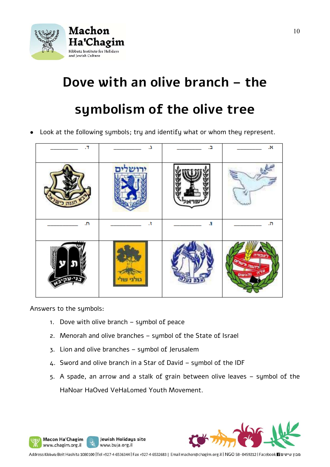

## **Dove with an olive branch – the**

## **symbolism of the olive tree**

Look at the following symbols; try and identify what or whom they represent.



Answers to the symbols:

Macon Ha'Chagim

www.chagim.org.il

- 1. Dove with olive branch symbol of peace
- 2. Menorah and olive branches symbol of the State of Israel
- 3. Lion and olive branches symbol of Jerusalem

Jewish Holidays site

www.buja.org.il

- 4. Sword and olive branch in a Star of David symbol of the IDF
- 5. A spade, an arrow and a stalk of grain between olive leaves symbol of the HaNoar HaOved VeHaLomed Youth Movement.

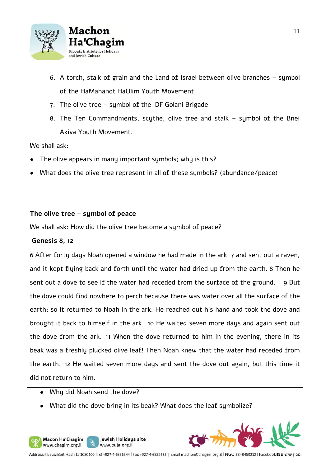

- 6. A torch, stalk of grain and the Land of Israel between olive branches symbol of the HaMahanot HaOlim Youth Movement.
- 7. The olive tree symbol of the IDF Golani Brigade
- 8. The Ten Commandments, scythe, olive tree and stalk symbol of the Bnei Akiva Youth Movement.

We shall ask:

- The olive appears in many important symbols; why is this?
- What does the olive tree represent in all of these sumbols? (abundance/peace)

## **The olive tree – symbol of peace**

We shall ask: How did the olive tree become a symbol of peace?

#### **Genesis 8, 12**

6 After forty days Noah opened a window he had made in the ark 7 and sent out a raven, and it kept flying back and forth until the water had dried up from the earth. 8 Then he sent out a dove to see if the water had receded from the surface of the ground. 9 But the dove could find nowhere to perch because there was water over all the surface of the earth; so it returned to Noah in the ark. He reached out his hand and took the dove and brought it back to himself in the ark. 10 He waited seven more days and again sent out the dove from the ark. 11 When the dove returned to him in the evening, there in its beak was a freshly plucked olive leaf! Then Noah knew that the water had receded from the earth. 12 He waited seven more days and sent the dove out again, but this time it did not return to him.

• Whu did Noah send the dove?

Macon Ha'Chagim

www.chagim.org.il

• What did the dove bring in its beak? What does the leaf symbolize?

Jewish Holidays site

www.buja.org.il



Address Kibbutz Beit Hashita 1080100 |Tel +927-4-6536344 | Fax +927-4-6532683 | Email machon@chagim.org.il | NGO 58-0459212 | Facebook 1 מבון שיטים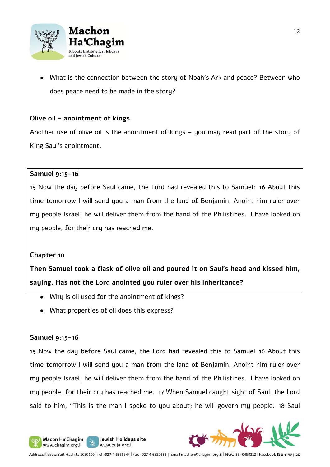

What is the connection between the story of Noah's Ark and peace? Between who does peace need to be made in the story?

## **Olive oil – anointment of kings**

Another use of olive oil is the anointment of kings – you may read part of the story of King Saul's anointment.

#### **Samuel 9:15-16**

15 Now the day before Saul came, the Lord had revealed this to Samuel: 16 About this time tomorrow I will send you a man from the land of Benjamin. Anoint him ruler over my people Israel; he will deliver them from the hand of the Philistines. I have looked on my people, for their cry has reached me.

#### **Chapter 10**

**Then Samuel took a flask of olive oil and poured it on Saul's head and kissed him, saying, Has not the Lord anointed you ruler over his inheritance?**

• Why is oil used for the anointment of kings?

Jewish Holidays site

www.buja.org.il

● What properties of oil does this express?

#### **Samuel 9:15-16**

Macon Ha'Chagim

www.chagim.org.il

15 Now the day before Saul came, the Lord had revealed this to Samuel 16 About this time tomorrow I will send you a man from the land of Benjamin. Anoint him ruler over my people Israel; he will deliver them from the hand of the Philistines. I have looked on my people, for their cry has reached me. 17 When Samuel caught sight of Saul, the Lord said to him, "This is the man I spoke to you about; he will govern my people. 18 Saul

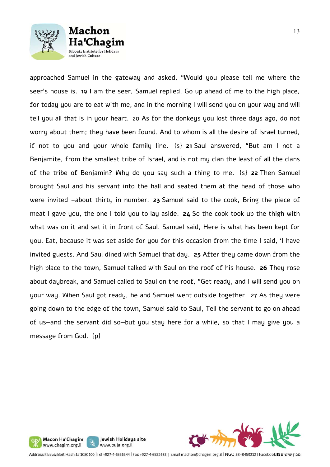

Machon

Chagim



about daybreak, and Samuel called to Saul on the roof, "Get ready, and I will send you on your way. When Saul got ready, he and Samuel went outside together. 27 As they were going down to the edge of the town, Samuel said to Saul, Tell the servant to go on ahead of us—and the servant did so—but you stay here for a while, so that I may give you a message from God. {p}



Address Kibbutz Beit Hashita 1080100 |Tel +927-4-6536344 | Fax +927-4-6532683 | Email machon@chagim.org.il | NGO 58-0459212 | Facebook 1 מכון שיטים

Jewish Holidays site

www.buja.org.il

Macon Ha'Chagim

www.chagim.org.il

y